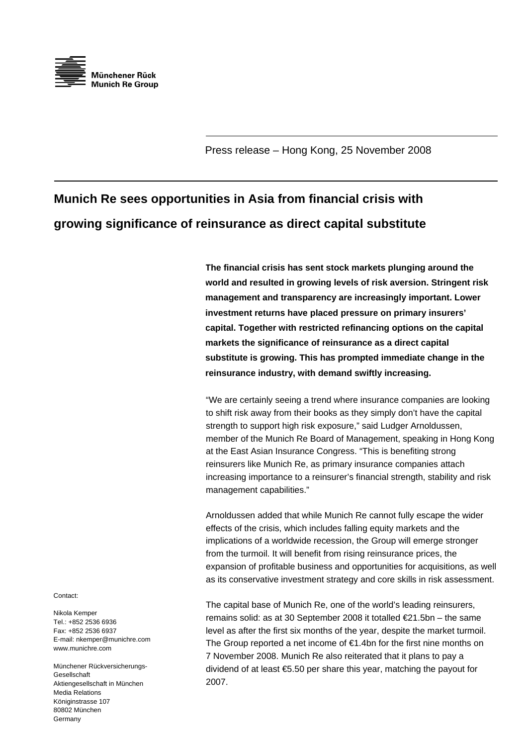

Press release – Hong Kong, 25 November 2008

## **Munich Re sees opportunities in Asia from financial crisis with growing significance of reinsurance as direct capital substitute**

**The financial crisis has sent stock markets plunging around the world and resulted in growing levels of risk aversion. Stringent risk management and transparency are increasingly important. Lower investment returns have placed pressure on primary insurers' capital. Together with restricted refinancing options on the capital markets the significance of reinsurance as a direct capital substitute is growing. This has prompted immediate change in the reinsurance industry, with demand swiftly increasing.** 

"We are certainly seeing a trend where insurance companies are looking to shift risk away from their books as they simply don't have the capital strength to support high risk exposure," said Ludger Arnoldussen, member of the Munich Re Board of Management, speaking in Hong Kong at the East Asian Insurance Congress. "This is benefiting strong reinsurers like Munich Re, as primary insurance companies attach increasing importance to a reinsurer's financial strength, stability and risk management capabilities."

Arnoldussen added that while Munich Re cannot fully escape the wider effects of the crisis, which includes falling equity markets and the implications of a worldwide recession, the Group will emerge stronger from the turmoil. It will benefit from rising reinsurance prices, the expansion of profitable business and opportunities for acquisitions, as well as its conservative investment strategy and core skills in risk assessment.

The capital base of Munich Re, one of the world's leading reinsurers, remains solid: as at 30 September 2008 it totalled €21.5bn – the same level as after the first six months of the year, despite the market turmoil. The Group reported a net income of €1.4bn for the first nine months on 7 November 2008. Munich Re also reiterated that it plans to pay a dividend of at least €5.50 per share this year, matching the payout for 2007.

Contact:

Nikola Kemper Tel.: +852 2536 6936 Fax: +852 2536 6937 E-mail: nkemper@munichre.com www.munichre.com

Münchener Rückversicherungs-Gesellschaft Aktiengesellschaft in München Media Relations Königinstrasse 107 80802 München Germany